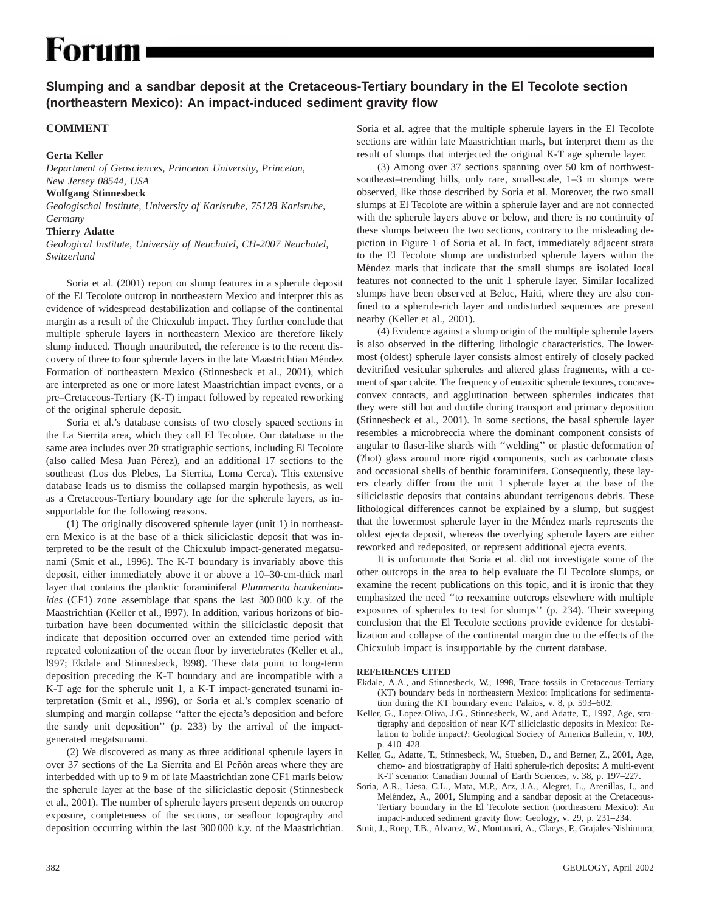# **Forum**

## **Slumping and a sandbar deposit at the Cretaceous-Tertiary boundary in the El Tecolote section (northeastern Mexico): An impact-induced sediment gravity flow**

### **COMMENT**

#### **Gerta Keller**

*Department of Geosciences, Princeton University, Princeton, New Jersey 08544, USA*

#### **Wolfgang Stinnesbeck**

*Geologischal Institute, University of Karlsruhe, 75128 Karlsruhe, Germany*

#### **Thierry Adatte**

*Geological Institute, University of Neuchatel, CH-2007 Neuchatel, Switzerland*

Soria et al. (2001) report on slump features in a spherule deposit of the El Tecolote outcrop in northeastern Mexico and interpret this as evidence of widespread destabilization and collapse of the continental margin as a result of the Chicxulub impact. They further conclude that multiple spherule layers in northeastern Mexico are therefore likely slump induced. Though unattributed, the reference is to the recent discovery of three to four spherule layers in the late Maastrichtian Méndez Formation of northeastern Mexico (Stinnesbeck et al., 2001), which are interpreted as one or more latest Maastrichtian impact events, or a pre–Cretaceous-Tertiary (K-T) impact followed by repeated reworking of the original spherule deposit.

Soria et al.'s database consists of two closely spaced sections in the La Sierrita area, which they call El Tecolote. Our database in the same area includes over 20 stratigraphic sections, including El Tecolote (also called Mesa Juan Pérez), and an additional 17 sections to the southeast (Los dos Plebes, La Sierrita, Loma Cerca). This extensive database leads us to dismiss the collapsed margin hypothesis, as well as a Cretaceous-Tertiary boundary age for the spherule layers, as insupportable for the following reasons.

(1) The originally discovered spherule layer (unit 1) in northeastern Mexico is at the base of a thick siliciclastic deposit that was interpreted to be the result of the Chicxulub impact-generated megatsunami (Smit et al., 1996). The K-T boundary is invariably above this deposit, either immediately above it or above a 10–30-cm-thick marl layer that contains the planktic foraminiferal *Plummerita hantkeninoides* (CF1) zone assemblage that spans the last 300 000 k.y. of the Maastrichtian (Keller et al., l997). In addition, various horizons of bioturbation have been documented within the siliciclastic deposit that indicate that deposition occurred over an extended time period with repeated colonization of the ocean floor by invertebrates (Keller et al., l997; Ekdale and Stinnesbeck, l998). These data point to long-term deposition preceding the K-T boundary and are incompatible with a K-T age for the spherule unit 1, a K-T impact-generated tsunami interpretation (Smit et al., l996), or Soria et al.'s complex scenario of slumping and margin collapse ''after the ejecta's deposition and before the sandy unit deposition'' (p. 233) by the arrival of the impactgenerated megatsunami.

(2) We discovered as many as three additional spherule layers in over 37 sections of the La Sierrita and El Peñón areas where they are interbedded with up to 9 m of late Maastrichtian zone CF1 marls below the spherule layer at the base of the siliciclastic deposit (Stinnesbeck et al., 2001). The number of spherule layers present depends on outcrop exposure, completeness of the sections, or seafloor topography and deposition occurring within the last 300 000 k.y. of the Maastrichtian.

Soria et al. agree that the multiple spherule layers in the El Tecolote sections are within late Maastrichtian marls, but interpret them as the result of slumps that interjected the original K-T age spherule layer.

(3) Among over 37 sections spanning over 50 km of northwestsoutheast–trending hills, only rare, small-scale, 1–3 m slumps were observed, like those described by Soria et al. Moreover, the two small slumps at El Tecolote are within a spherule layer and are not connected with the spherule layers above or below, and there is no continuity of these slumps between the two sections, contrary to the misleading depiction in Figure 1 of Soria et al. In fact, immediately adjacent strata to the El Tecolote slump are undisturbed spherule layers within the Méndez marls that indicate that the small slumps are isolated local features not connected to the unit 1 spherule layer. Similar localized slumps have been observed at Beloc, Haiti, where they are also confined to a spherule-rich layer and undisturbed sequences are present nearby (Keller et al., 2001).

(4) Evidence against a slump origin of the multiple spherule layers is also observed in the differing lithologic characteristics. The lowermost (oldest) spherule layer consists almost entirely of closely packed devitrified vesicular spherules and altered glass fragments, with a cement of spar calcite. The frequency of eutaxitic spherule textures, concaveconvex contacts, and agglutination between spherules indicates that they were still hot and ductile during transport and primary deposition (Stinnesbeck et al., 2001). In some sections, the basal spherule layer resembles a microbreccia where the dominant component consists of angular to flaser-like shards with ''welding'' or plastic deformation of (?hot) glass around more rigid components, such as carbonate clasts and occasional shells of benthic foraminifera. Consequently, these layers clearly differ from the unit 1 spherule layer at the base of the siliciclastic deposits that contains abundant terrigenous debris. These lithological differences cannot be explained by a slump, but suggest that the lowermost spherule layer in the Méndez marls represents the oldest ejecta deposit, whereas the overlying spherule layers are either reworked and redeposited, or represent additional ejecta events.

It is unfortunate that Soria et al. did not investigate some of the other outcrops in the area to help evaluate the El Tecolote slumps, or examine the recent publications on this topic, and it is ironic that they emphasized the need ''to reexamine outcrops elsewhere with multiple exposures of spherules to test for slumps'' (p. 234). Their sweeping conclusion that the El Tecolote sections provide evidence for destabilization and collapse of the continental margin due to the effects of the Chicxulub impact is insupportable by the current database.

#### **REFERENCES CITED**

- Ekdale, A.A., and Stinnesbeck, W., 1998, Trace fossils in Cretaceous-Tertiary (KT) boundary beds in northeastern Mexico: Implications for sedimentation during the KT boundary event: Palaios, v. 8, p. 593–602.
- Keller, G., Lopez-Oliva, J.G., Stinnesbeck, W., and Adatte, T., 1997, Age, stratigraphy and deposition of near K/T siliciclastic deposits in Mexico: Relation to bolide impact?: Geological Society of America Bulletin, v. 109, p. 410–428.
- Keller, G., Adatte, T., Stinnesbeck, W., Stueben, D., and Berner, Z., 2001, Age, chemo- and biostratigraphy of Haiti spherule-rich deposits: A multi-event K-T scenario: Canadian Journal of Earth Sciences, v. 38, p. 197–227.
- Soria, A.R., Liesa, C.L., Mata, M.P., Arz, J.A., Alegret, L., Arenillas, I., and Meléndez, A., 2001, Slumping and a sandbar deposit at the Cretaceous-Tertiary boundary in the El Tecolote section (northeastern Mexico): An impact-induced sediment gravity flow: Geology, v. 29, p. 231–234.
- Smit, J., Roep, T.B., Alvarez, W., Montanari, A., Claeys, P., Grajales-Nishimura,